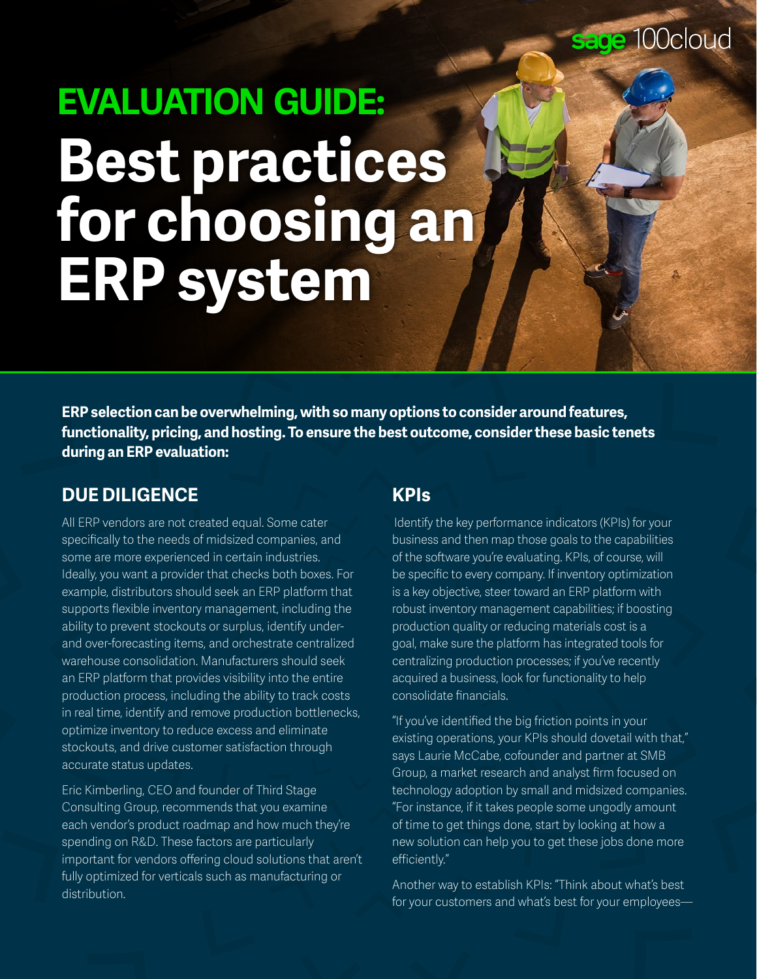# **EVALUATION GUIDE: Best practices for choosing an ERP system**

**ERP selection can be overwhelming, with so many options to consider around features, functionality, pricing, and hosting. To ensure the best outcome, consider these basic tenets during an ERP evaluation:**

## **DUE DILIGENCE**

All ERP vendors are not created equal. Some cater specifically to the needs of midsized companies, and some are more experienced in certain industries. Ideally, you want a provider that checks both boxes. For example, distributors should seek an ERP platform that supports flexible inventory management, including the ability to prevent stockouts or surplus, identify underand over-forecasting items, and orchestrate centralized warehouse consolidation. Manufacturers should seek an ERP platform that provides visibility into the entire production process, including the ability to track costs in real time, identify and remove production bottlenecks, optimize inventory to reduce excess and eliminate stockouts, and drive customer satisfaction through accurate status updates.

Eric Kimberling, CEO and founder of Third Stage Consulting Group, recommends that you examine each vendor's product roadmap and how much they're spending on R&D. These factors are particularly important for vendors offering cloud solutions that aren't fully optimized for verticals such as manufacturing or distribution.

## **KPIs**

Identify the key performance indicators (KPIs) for your business and then map those goals to the capabilities of the software you're evaluating. KPIs, of course, will be specific to every company. If inventory optimization is a key objective, steer toward an ERP platform with robust inventory management capabilities; if boosting production quality or reducing materials cost is a goal, make sure the platform has integrated tools for centralizing production processes; if you've recently acquired a business, look for functionality to help consolidate financials.

"If you've identified the big friction points in your existing operations, your KPIs should dovetail with that," says Laurie McCabe, cofounder and partner at SMB Group, a market research and analyst firm focused on technology adoption by small and midsized companies. "For instance, if it takes people some ungodly amount of time to get things done, start by looking at how a new solution can help you to get these jobs done more efficiently."

Another way to establish KPIs: "Think about what's best for your customers and what's best for your employees—